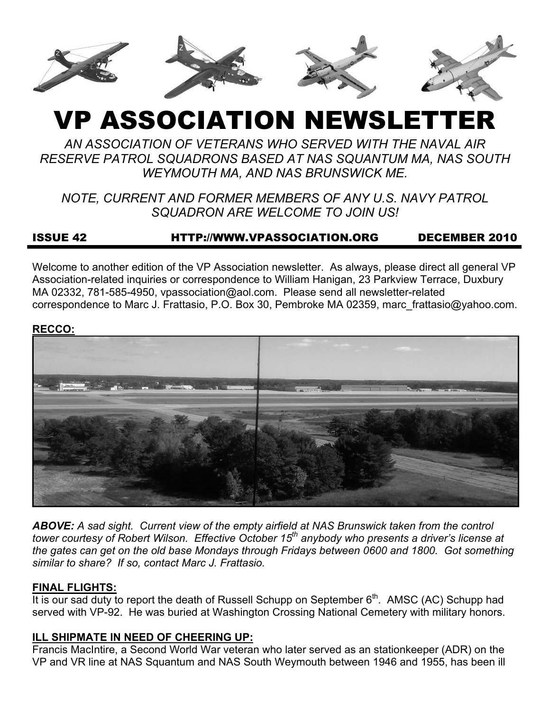

# VP ASSOCIATION NEWSLETTER

*AN ASSOCIATION OF VETERANS WHO SERVED WITH THE NAVAL AIR RESERVE PATROL SQUADRONS BASED AT NAS SQUANTUM MA, NAS SOUTH WEYMOUTH MA, AND NAS BRUNSWICK ME.* 

*NOTE, CURRENT AND FORMER MEMBERS OF ANY U.S. NAVY PATROL SQUADRON ARE WELCOME TO JOIN US!* 

# ISSUE 42 HTTP://WWW.VPASSOCIATION.ORG DECEMBER 2010

Welcome to another edition of the VP Association newsletter. As always, please direct all general VP Association-related inquiries or correspondence to William Hanigan, 23 Parkview Terrace, Duxbury MA 02332, 781-585-4950, vpassociation@aol.com. Please send all newsletter-related correspondence to Marc J. Frattasio, P.O. Box 30, Pembroke MA 02359, marc\_frattasio@yahoo.com.

#### **RECCO:**



*ABOVE: A sad sight. Current view of the empty airfield at NAS Brunswick taken from the control tower courtesy of Robert Wilson. Effective October 15th anybody who presents a driver's license at the gates can get on the old base Mondays through Fridays between 0600 and 1800. Got something similar to share? If so, contact Marc J. Frattasio.* 

# **FINAL FLIGHTS:**

It is our sad duty to report the death of Russell Schupp on September  $6<sup>th</sup>$ . AMSC (AC) Schupp had served with VP-92. He was buried at Washington Crossing National Cemetery with military honors.

# **ILL SHIPMATE IN NEED OF CHEERING UP:**

Francis MacIntire, a Second World War veteran who later served as an stationkeeper (ADR) on the VP and VR line at NAS Squantum and NAS South Weymouth between 1946 and 1955, has been ill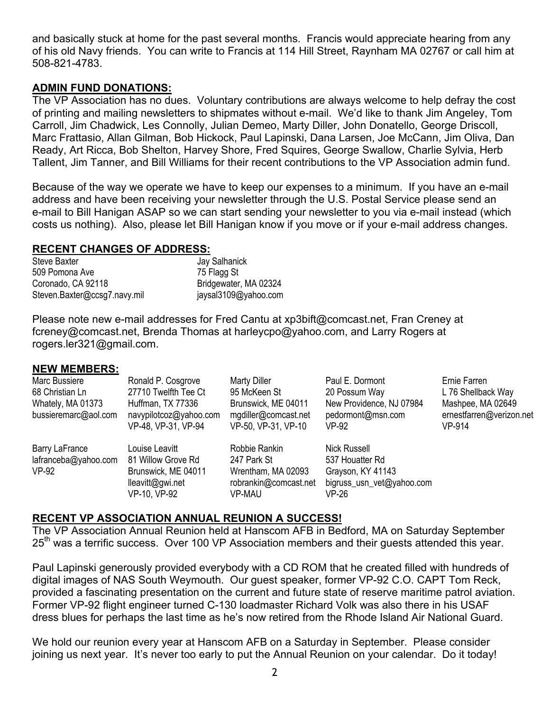and basically stuck at home for the past several months. Francis would appreciate hearing from any of his old Navy friends. You can write to Francis at 114 Hill Street, Raynham MA 02767 or call him at 508-821-4783.

## **ADMIN FUND DONATIONS:**

The VP Association has no dues. Voluntary contributions are always welcome to help defray the cost of printing and mailing newsletters to shipmates without e-mail. We'd like to thank Jim Angeley, Tom Carroll, Jim Chadwick, Les Connolly, Julian Demeo, Marty Diller, John Donatello, George Driscoll, Marc Frattasio, Allan Gilman, Bob Hickock, Paul Lapinski, Dana Larsen, Joe McCann, Jim Oliva, Dan Ready, Art Ricca, Bob Shelton, Harvey Shore, Fred Squires, George Swallow, Charlie Sylvia, Herb Tallent, Jim Tanner, and Bill Williams for their recent contributions to the VP Association admin fund.

Because of the way we operate we have to keep our expenses to a minimum. If you have an e-mail address and have been receiving your newsletter through the U.S. Postal Service please send an e-mail to Bill Hanigan ASAP so we can start sending your newsletter to you via e-mail instead (which costs us nothing). Also, please let Bill Hanigan know if you move or if your e-mail address changes.

#### **RECENT CHANGES OF ADDRESS:**

| <b>Steve Baxter</b>          |  |
|------------------------------|--|
| 509 Pomona Ave               |  |
| Coronado, CA 92118           |  |
| Steven.Baxter@ccsg7.navy.mil |  |

Jay Salhanick 75 Flagg St Bridgewater, MA 02324 jaysal3109@yahoo.com

Please note new e-mail addresses for Fred Cantu at xp3bift@comcast.net, Fran Creney at fcreney@comcast.net, Brenda Thomas at harleycpo@yahoo.com, and Larry Rogers at rogers.ler321@gmail.com.

#### **NEW MEMBERS:**

| Marc Bussiere                                   | Ronald P. Cosgrove                                                              | <b>Marty Diller</b>                                                         | Paul E. Dormont                                                                   | Ernie Farren                                            |
|-------------------------------------------------|---------------------------------------------------------------------------------|-----------------------------------------------------------------------------|-----------------------------------------------------------------------------------|---------------------------------------------------------|
| 68 Christian Ln                                 | 27710 Twelfth Tee Ct                                                            | 95 McKeen St                                                                | 20 Possum Way                                                                     | L 76 Shellback Way                                      |
| Whately, MA 01373<br>bussieremarc@aol.com       | Huffman, TX 77336<br>navypilotcoz@yahoo.com<br>VP-48, VP-31, VP-94              | Brunswick, ME 04011<br>mgdiller@comcast.net<br>VP-50, VP-31, VP-10          | New Providence, NJ 07984<br>pedormont@msn.com<br>VP-92                            | Mashpee, MA 02649<br>ernestfarren@verizon.net<br>VP-914 |
| Barry LaFrance<br>lafranceba@yahoo.com<br>VP-92 | Louise Leavitt<br>81 Willow Grove Rd<br>Brunswick, ME 04011<br>lleavitt@gwi.net | Robbie Rankin<br>247 Park St<br>Wrentham, MA 02093<br>robrankin@comcast.net | Nick Russell<br>537 Houatter Rd<br>Grayson, KY 41143<br>bigruss_usn_vet@yahoo.com |                                                         |
|                                                 | VP-10, VP-92                                                                    | VP-MAU                                                                      | VP-26                                                                             |                                                         |

#### **RECENT VP ASSOCIATION ANNUAL REUNION A SUCCESS!**

The VP Association Annual Reunion held at Hanscom AFB in Bedford, MA on Saturday September 25<sup>th</sup> was a terrific success. Over 100 VP Association members and their guests attended this year.

Paul Lapinski generously provided everybody with a CD ROM that he created filled with hundreds of digital images of NAS South Weymouth. Our guest speaker, former VP-92 C.O. CAPT Tom Reck, provided a fascinating presentation on the current and future state of reserve maritime patrol aviation. Former VP-92 flight engineer turned C-130 loadmaster Richard Volk was also there in his USAF dress blues for perhaps the last time as he's now retired from the Rhode Island Air National Guard.

We hold our reunion every year at Hanscom AFB on a Saturday in September. Please consider joining us next year. It's never too early to put the Annual Reunion on your calendar. Do it today!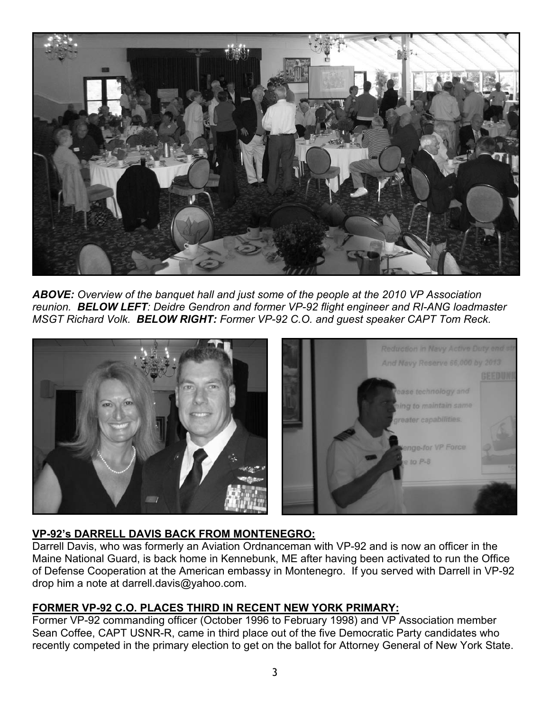

*ABOVE: Overview of the banquet hall and just some of the people at the 2010 VP Association reunion. BELOW LEFT: Deidre Gendron and former VP-92 flight engineer and RI-ANG loadmaster MSGT Richard Volk. BELOW RIGHT: Former VP-92 C.O. and guest speaker CAPT Tom Reck.* 



# **VP-92's DARRELL DAVIS BACK FROM MONTENEGRO:**

Darrell Davis, who was formerly an Aviation Ordnanceman with VP-92 and is now an officer in the Maine National Guard, is back home in Kennebunk, ME after having been activated to run the Office of Defense Cooperation at the American embassy in Montenegro. If you served with Darrell in VP-92 drop him a note at darrell.davis@yahoo.com.

# **FORMER VP-92 C.O. PLACES THIRD IN RECENT NEW YORK PRIMARY:**

Former VP-92 commanding officer (October 1996 to February 1998) and VP Association member Sean Coffee, CAPT USNR-R, came in third place out of the five Democratic Party candidates who recently competed in the primary election to get on the ballot for Attorney General of New York State.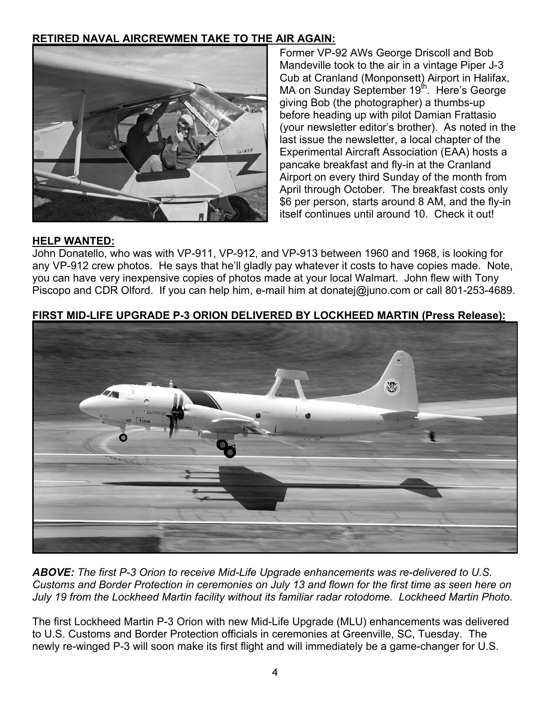# **RETIRED NAVAL AIRCREWMEN TAKE TO THE AIR AGAIN:**



Former VP-92 AWs George Driscoll and Bob Mandeville took to the air in a vintage Piper J-3 Cub at Cranland (Monponsett) Airport in Halifax, MA on Sunday September 19<sup>th</sup>. Here's George giving Bob (the photographer) a thumbs-up before heading up with pilot Damian Frattasio (your newsletter editor's brother). As noted in the last issue the newsletter, a local chapter of the Experimental Aircraft Association (EAA) hosts a pancake breakfast and fly-in at the Cranland Airport on every third Sunday of the month from April through October. The breakfast costs only \$6 per person, starts around 8 AM, and the fly-in itself continues until around 10. Check it out!

## **HELP WANTED:**

John Donatello, who was with VP-911, VP-912, and VP-913 between 1960 and 1968, is looking for any VP-912 crew photos. He says that he'll gladly pay whatever it costs to have copies made. Note, you can have very inexpensive copies of photos made at your local Walmart. John flew with Tony Piscopo and CDR Olford. If you can help him, e-mail him at donatej@juno.com or call 801-253-4689.

# **FIRST MID-LIFE UPGRADE P-3 ORION DELIVERED BY LOCKHEED MARTIN (Press Release):**



*ABOVE: The first P-3 Orion to receive Mid-Life Upgrade enhancements was re-delivered to U.S. Customs and Border Protection in ceremonies on July 13 and flown for the first time as seen here on July 19 from the Lockheed Martin facility without its familiar radar rotodome. Lockheed Martin Photo.* 

The first Lockheed Martin P-3 Orion with new Mid-Life Upgrade (MLU) enhancements was delivered to U.S. Customs and Border Protection officials in ceremonies at Greenville, SC, Tuesday. The newly re-winged P-3 will soon make its first flight and will immediately be a game-changer for U.S.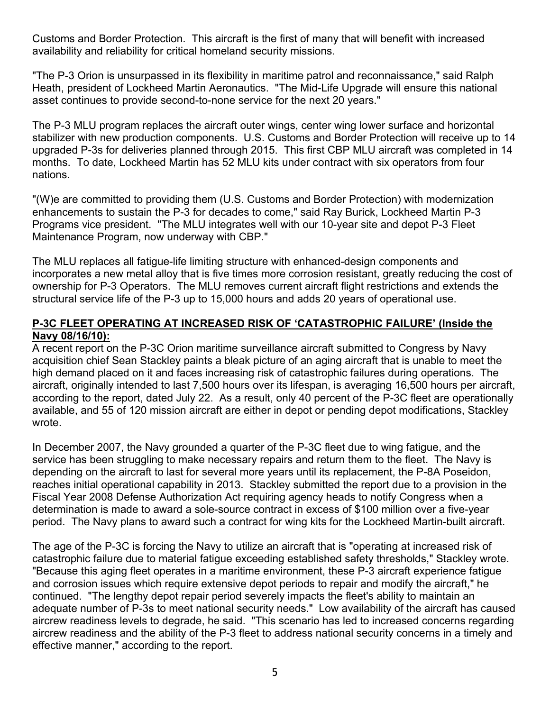Customs and Border Protection. This aircraft is the first of many that will benefit with increased availability and reliability for critical homeland security missions.

"The P-3 Orion is unsurpassed in its flexibility in maritime patrol and reconnaissance," said Ralph Heath, president of Lockheed Martin Aeronautics. "The Mid-Life Upgrade will ensure this national asset continues to provide second-to-none service for the next 20 years."

The P-3 MLU program replaces the aircraft outer wings, center wing lower surface and horizontal stabilizer with new production components. U.S. Customs and Border Protection will receive up to 14 upgraded P-3s for deliveries planned through 2015. This first CBP MLU aircraft was completed in 14 months. To date, Lockheed Martin has 52 MLU kits under contract with six operators from four nations.

"(W)e are committed to providing them (U.S. Customs and Border Protection) with modernization enhancements to sustain the P-3 for decades to come," said Ray Burick, Lockheed Martin P-3 Programs vice president. "The MLU integrates well with our 10-year site and depot P-3 Fleet Maintenance Program, now underway with CBP."

The MLU replaces all fatigue-life limiting structure with enhanced-design components and incorporates a new metal alloy that is five times more corrosion resistant, greatly reducing the cost of ownership for P-3 Operators. The MLU removes current aircraft flight restrictions and extends the structural service life of the P-3 up to 15,000 hours and adds 20 years of operational use.

#### **P-3C FLEET OPERATING AT INCREASED RISK OF 'CATASTROPHIC FAILURE' (Inside the Navy 08/16/10):**

A recent report on the P-3C Orion maritime surveillance aircraft submitted to Congress by Navy acquisition chief Sean Stackley paints a bleak picture of an aging aircraft that is unable to meet the high demand placed on it and faces increasing risk of catastrophic failures during operations. The aircraft, originally intended to last 7,500 hours over its lifespan, is averaging 16,500 hours per aircraft, according to the report, dated July 22. As a result, only 40 percent of the P-3C fleet are operationally available, and 55 of 120 mission aircraft are either in depot or pending depot modifications, Stackley wrote.

In December 2007, the Navy grounded a quarter of the P-3C fleet due to wing fatigue, and the service has been struggling to make necessary repairs and return them to the fleet. The Navy is depending on the aircraft to last for several more years until its replacement, the P-8A Poseidon, reaches initial operational capability in 2013. Stackley submitted the report due to a provision in the Fiscal Year 2008 Defense Authorization Act requiring agency heads to notify Congress when a determination is made to award a sole-source contract in excess of \$100 million over a five-year period. The Navy plans to award such a contract for wing kits for the Lockheed Martin-built aircraft.

The age of the P-3C is forcing the Navy to utilize an aircraft that is "operating at increased risk of catastrophic failure due to material fatigue exceeding established safety thresholds," Stackley wrote. "Because this aging fleet operates in a maritime environment, these P-3 aircraft experience fatigue and corrosion issues which require extensive depot periods to repair and modify the aircraft," he continued. "The lengthy depot repair period severely impacts the fleet's ability to maintain an adequate number of P-3s to meet national security needs." Low availability of the aircraft has caused aircrew readiness levels to degrade, he said. "This scenario has led to increased concerns regarding aircrew readiness and the ability of the P-3 fleet to address national security concerns in a timely and effective manner," according to the report.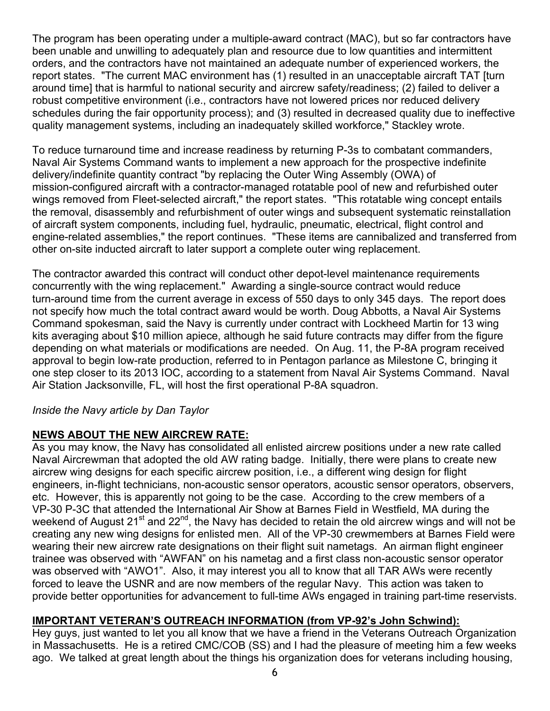The program has been operating under a multiple-award contract (MAC), but so far contractors have been unable and unwilling to adequately plan and resource due to low quantities and intermittent orders, and the contractors have not maintained an adequate number of experienced workers, the report states. "The current MAC environment has (1) resulted in an unacceptable aircraft TAT [turn around time] that is harmful to national security and aircrew safety/readiness; (2) failed to deliver a robust competitive environment (i.e., contractors have not lowered prices nor reduced delivery schedules during the fair opportunity process); and (3) resulted in decreased quality due to ineffective quality management systems, including an inadequately skilled workforce," Stackley wrote.

To reduce turnaround time and increase readiness by returning P-3s to combatant commanders, Naval Air Systems Command wants to implement a new approach for the prospective indefinite delivery/indefinite quantity contract "by replacing the Outer Wing Assembly (OWA) of mission-configured aircraft with a contractor-managed rotatable pool of new and refurbished outer wings removed from Fleet-selected aircraft," the report states. "This rotatable wing concept entails the removal, disassembly and refurbishment of outer wings and subsequent systematic reinstallation of aircraft system components, including fuel, hydraulic, pneumatic, electrical, flight control and engine-related assemblies," the report continues. "These items are cannibalized and transferred from other on-site inducted aircraft to later support a complete outer wing replacement.

The contractor awarded this contract will conduct other depot-level maintenance requirements concurrently with the wing replacement." Awarding a single-source contract would reduce turn-around time from the current average in excess of 550 days to only 345 days. The report does not specify how much the total contract award would be worth. Doug Abbotts, a Naval Air Systems Command spokesman, said the Navy is currently under contract with Lockheed Martin for 13 wing kits averaging about \$10 million apiece, although he said future contracts may differ from the figure depending on what materials or modifications are needed. On Aug. 11, the P-8A program received approval to begin low-rate production, referred to in Pentagon parlance as Milestone C, bringing it one step closer to its 2013 IOC, according to a statement from Naval Air Systems Command. Naval Air Station Jacksonville, FL, will host the first operational P-8A squadron.

# *Inside the Navy article by Dan Taylor*

# **NEWS ABOUT THE NEW AIRCREW RATE:**

As you may know, the Navy has consolidated all enlisted aircrew positions under a new rate called Naval Aircrewman that adopted the old AW rating badge. Initially, there were plans to create new aircrew wing designs for each specific aircrew position, i.e., a different wing design for flight engineers, in-flight technicians, non-acoustic sensor operators, acoustic sensor operators, observers, etc. However, this is apparently not going to be the case. According to the crew members of a VP-30 P-3C that attended the International Air Show at Barnes Field in Westfield, MA during the weekend of August 21<sup>st</sup> and 22<sup>nd</sup>, the Navy has decided to retain the old aircrew wings and will not be creating any new wing designs for enlisted men. All of the VP-30 crewmembers at Barnes Field were wearing their new aircrew rate designations on their flight suit nametags. An airman flight engineer trainee was observed with "AWFAN" on his nametag and a first class non-acoustic sensor operator was observed with "AWO1". Also, it may interest you all to know that all TAR AWs were recently forced to leave the USNR and are now members of the regular Navy. This action was taken to provide better opportunities for advancement to full-time AWs engaged in training part-time reservists.

# **IMPORTANT VETERAN'S OUTREACH INFORMATION (from VP-92's John Schwind):**

Hey guys, just wanted to let you all know that we have a friend in the Veterans Outreach Organization in Massachusetts. He is a retired CMC/COB (SS) and I had the pleasure of meeting him a few weeks ago. We talked at great length about the things his organization does for veterans including housing,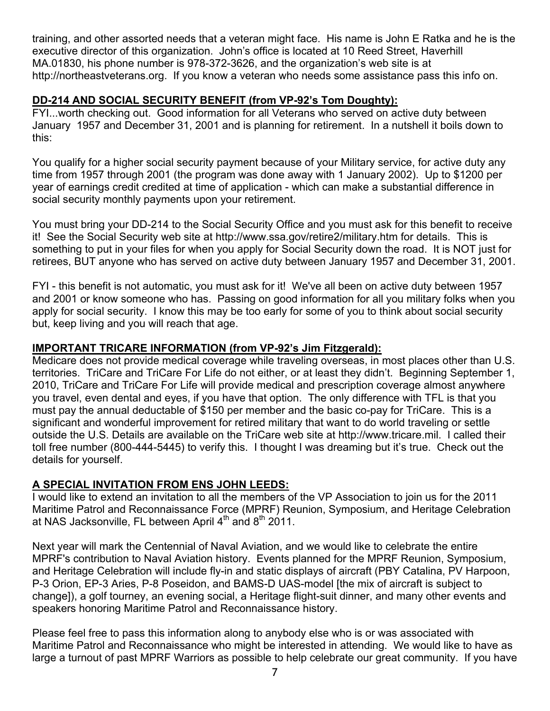training, and other assorted needs that a veteran might face. His name is John E Ratka and he is the executive director of this organization. John's office is located at 10 Reed Street, Haverhill MA.01830, his phone number is 978-372-3626, and the organization's web site is at http://northeastveterans.org. If you know a veteran who needs some assistance pass this info on.

# **DD-214 AND SOCIAL SECURITY BENEFIT (from VP-92's Tom Doughty):**

FYI...worth checking out. Good information for all Veterans who served on active duty between January 1957 and December 31, 2001 and is planning for retirement. In a nutshell it boils down to this:

You qualify for a higher social security payment because of your Military service, for active duty any time from 1957 through 2001 (the program was done away with 1 January 2002). Up to \$1200 per year of earnings credit credited at time of application - which can make a substantial difference in social security monthly payments upon your retirement.

You must bring your DD-214 to the Social Security Office and you must ask for this benefit to receive it! See the Social Security web site at http://www.ssa.gov/retire2/military.htm for details. This is something to put in your files for when you apply for Social Security down the road. It is NOT just for retirees, BUT anyone who has served on active duty between January 1957 and December 31, 2001.

FYI - this benefit is not automatic, you must ask for it! We've all been on active duty between 1957 and 2001 or know someone who has. Passing on good information for all you military folks when you apply for social security. I know this may be too early for some of you to think about social security but, keep living and you will reach that age.

# **IMPORTANT TRICARE INFORMATION (from VP-92's Jim Fitzgerald):**

Medicare does not provide medical coverage while traveling overseas, in most places other than U.S. territories. TriCare and TriCare For Life do not either, or at least they didn't. Beginning September 1, 2010, TriCare and TriCare For Life will provide medical and prescription coverage almost anywhere you travel, even dental and eyes, if you have that option. The only difference with TFL is that you must pay the annual deductable of \$150 per member and the basic co-pay for TriCare. This is a significant and wonderful improvement for retired military that want to do world traveling or settle outside the U.S. Details are available on the TriCare web site at http://www.tricare.mil. I called their toll free number (800-444-5445) to verify this. I thought I was dreaming but it's true. Check out the details for yourself.

# **A SPECIAL INVITATION FROM ENS JOHN LEEDS:**

I would like to extend an invitation to all the members of the VP Association to join us for the 2011 Maritime Patrol and Reconnaissance Force (MPRF) Reunion, Symposium, and Heritage Celebration at NAS Jacksonville, FL between April  $4<sup>th</sup>$  and  $8<sup>th</sup>$  2011.

Next year will mark the Centennial of Naval Aviation, and we would like to celebrate the entire MPRF's contribution to Naval Aviation history. Events planned for the MPRF Reunion, Symposium, and Heritage Celebration will include fly-in and static displays of aircraft (PBY Catalina, PV Harpoon, P-3 Orion, EP-3 Aries, P-8 Poseidon, and BAMS-D UAS-model [the mix of aircraft is subject to change]), a golf tourney, an evening social, a Heritage flight-suit dinner, and many other events and speakers honoring Maritime Patrol and Reconnaissance history.

Please feel free to pass this information along to anybody else who is or was associated with Maritime Patrol and Reconnaissance who might be interested in attending. We would like to have as large a turnout of past MPRF Warriors as possible to help celebrate our great community. If you have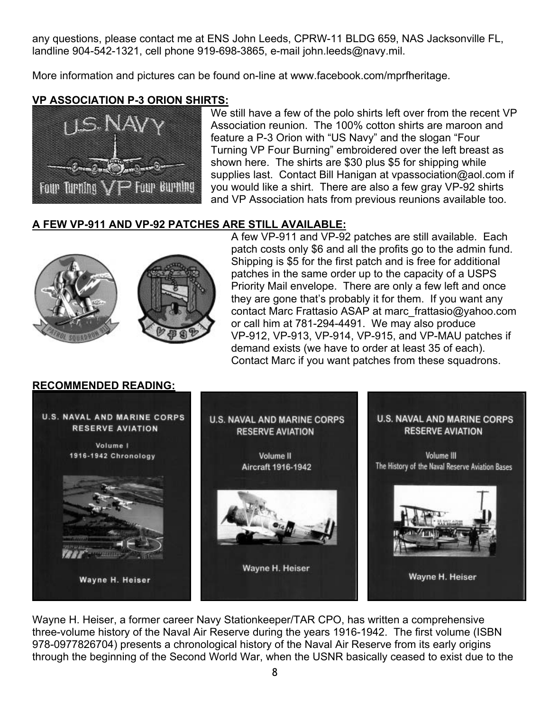any questions, please contact me at ENS John Leeds, CPRW-11 BLDG 659, NAS Jacksonville FL, landline 904-542-1321, cell phone 919-698-3865, e-mail john.leeds@navy.mil.

More information and pictures can be found on-line at www.facebook.com/mprfheritage.

# **VP ASSOCIATION P-3 ORION SHIRTS:**



We still have a few of the polo shirts left over from the recent VP Association reunion. The 100% cotton shirts are maroon and feature a P-3 Orion with "US Navy" and the slogan "Four Turning VP Four Burning" embroidered over the left breast as shown here. The shirts are \$30 plus \$5 for shipping while supplies last. Contact Bill Hanigan at vpassociation@aol.com if you would like a shirt. There are also a few gray VP-92 shirts and VP Association hats from previous reunions available too.

# **A FEW VP-911 AND VP-92 PATCHES ARE STILL AVAILABLE:**



A few VP-911 and VP-92 patches are still available. Each patch costs only \$6 and all the profits go to the admin fund. Shipping is \$5 for the first patch and is free for additional patches in the same order up to the capacity of a USPS Priority Mail envelope. There are only a few left and once they are gone that's probably it for them. If you want any contact Marc Frattasio ASAP at marc\_frattasio@yahoo.com or call him at 781-294-4491. We may also produce VP-912, VP-913, VP-914, VP-915, and VP-MAU patches if demand exists (we have to order at least 35 of each). Contact Marc if you want patches from these squadrons.



Wayne H. Heiser, a former career Navy Stationkeeper/TAR CPO, has written a comprehensive three-volume history of the Naval Air Reserve during the years 1916-1942. The first volume (ISBN 978-0977826704) presents a chronological history of the Naval Air Reserve from its early origins through the beginning of the Second World War, when the USNR basically ceased to exist due to the

# **RECOMMENDED READING:**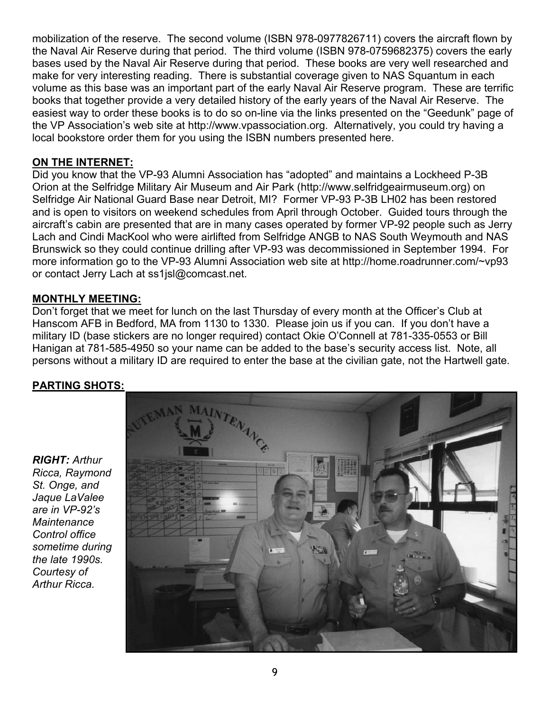mobilization of the reserve. The second volume (ISBN 978-0977826711) covers the aircraft flown by the Naval Air Reserve during that period. The third volume (ISBN 978-0759682375) covers the early bases used by the Naval Air Reserve during that period. These books are very well researched and make for very interesting reading. There is substantial coverage given to NAS Squantum in each volume as this base was an important part of the early Naval Air Reserve program. These are terrific books that together provide a very detailed history of the early years of the Naval Air Reserve. The easiest way to order these books is to do so on-line via the links presented on the "Geedunk" page of the VP Association's web site at http://www.vpassociation.org. Alternatively, you could try having a local bookstore order them for you using the ISBN numbers presented here.

# **ON THE INTERNET:**

Did you know that the VP-93 Alumni Association has "adopted" and maintains a Lockheed P-3B Orion at the Selfridge Military Air Museum and Air Park (http://www.selfridgeairmuseum.org) on Selfridge Air National Guard Base near Detroit, MI? Former VP-93 P-3B LH02 has been restored and is open to visitors on weekend schedules from April through October. Guided tours through the aircraft's cabin are presented that are in many cases operated by former VP-92 people such as Jerry Lach and Cindi MacKool who were airlifted from Selfridge ANGB to NAS South Weymouth and NAS Brunswick so they could continue drilling after VP-93 was decommissioned in September 1994. For more information go to the VP-93 Alumni Association web site at http://home.roadrunner.com/~vp93 or contact Jerry Lach at ss1jsl@comcast.net.

# **MONTHLY MEETING:**

Don't forget that we meet for lunch on the last Thursday of every month at the Officer's Club at Hanscom AFB in Bedford, MA from 1130 to 1330. Please join us if you can. If you don't have a military ID (base stickers are no longer required) contact Okie O'Connell at 781-335-0553 or Bill Hanigan at 781-585-4950 so your name can be added to the base's security access list. Note, all persons without a military ID are required to enter the base at the civilian gate, not the Hartwell gate.

# **PARTING SHOTS:**

*RIGHT: Arthur Ricca, Raymond St. Onge, and Jaque LaValee are in VP-92's Maintenance Control office sometime during the late 1990s. Courtesy of Arthur Ricca.*